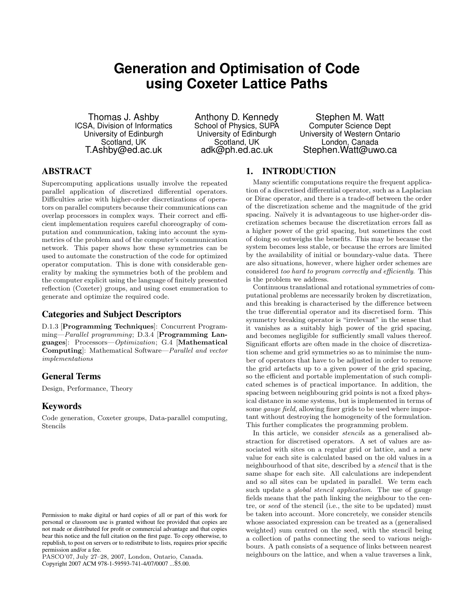# **Generation and Optimisation of Code using Coxeter Lattice Paths**

Thomas J. Ashby ICSA, Division of Informatics University of Edinburgh Scotland, UK T.Ashby@ed.ac.uk

Anthony D. Kennedy School of Physics, SUPA University of Edinburgh Scotland, UK adk@ph.ed.ac.uk

Stephen M. Watt Computer Science Dept University of Western Ontario London, Canada Stephen.Watt@uwo.ca

# ABSTRACT

Supercomputing applications usually involve the repeated parallel application of discretized differential operators. Difficulties arise with higher-order discretizations of operators on parallel computers because their communications can overlap processors in complex ways. Their correct and efficient implementation requires careful choreography of computation and communication, taking into account the symmetries of the problem and of the computer's communication network. This paper shows how these symmetries can be used to automate the construction of the code for optimized operator computation. This is done with considerable generality by making the symmetries both of the problem and the computer explicit using the language of finitely presented reflection (Coxeter) groups, and using coset enumeration to generate and optimize the required code.

## Categories and Subject Descriptors

D.1.3 [Programming Techniques]: Concurrent Programming—Parallel programming; D.3.4 [Programming Languages]: Processors—Optimization; G.4 [Mathematical Computing]: Mathematical Software—Parallel and vector implementations

## General Terms

Design, Performance, Theory

## Keywords

Code generation, Coxeter groups, Data-parallel computing, Stencils

PASCO'07, July 27–28, 2007, London, Ontario, Canada. Copyright 2007 ACM 978-1-59593-741-4/07/0007 ...\$5.00.

1. INTRODUCTION

Many scientific computations require the frequent application of a discretised differential operator, such as a Laplacian or Dirac operator, and there is a trade-off between the order of the discretization scheme and the magnitude of the grid spacing. Naïvely it is advantageous to use higher-order discretization schemes because the discretization errors fall as a higher power of the grid spacing, but sometimes the cost of doing so outweighs the benefits. This may be because the system becomes less stable, or because the errors are limited by the availability of initial or boundary-value data. There are also situations, however, where higher order schemes are considered too hard to program correctly and efficiently. This is the problem we address.

Continuous translational and rotational symmetries of computational problems are necessarily broken by discretization, and this breaking is characterised by the difference between the true differential operator and its discretised form. This symmetry breaking operator is "irrelevant" in the sense that it vanishes as a suitably high power of the grid spacing, and becomes negligible for sufficiently small values thereof. Significant efforts are often made in the choice of discretization scheme and grid symmetries so as to minimise the number of operators that have to be adjusted in order to remove the grid artefacts up to a given power of the grid spacing, so the efficient and portable implementation of such complicated schemes is of practical importance. In addition, the spacing between neighbouring grid points is not a fixed physical distance in some systems, but is implemented in terms of some *gauge field*, allowing finer grids to be used where important without destroying the homogeneity of the formulation. This further complicates the programming problem.

In this article, we consider stencils as a generalised abstraction for discretised operators. A set of values are associated with sites on a regular grid or lattice, and a new value for each site is calculated based on the old values in a neighbourhood of that site, described by a stencil that is the same shape for each site. All calculations are independent and so all sites can be updated in parallel. We term each such update a *global stencil application*. The use of gauge fields means that the path linking the neighbour to the centre, or seed of the stencil (i.e., the site to be updated) must be taken into account. More concretely, we consider stencils whose associated expression can be treated as a (generalised weighted) sum centred on the seed, with the stencil being a collection of paths connecting the seed to various neighbours. A path consists of a sequence of links between nearest neighbours on the lattice, and when a value traverses a link,

Permission to make digital or hard copies of all or part of this work for personal or classroom use is granted without fee provided that copies are not made or distributed for profit or commercial advantage and that copies bear this notice and the full citation on the first page. To copy otherwise, to republish, to post on servers or to redistribute to lists, requires prior specific permission and/or a fee.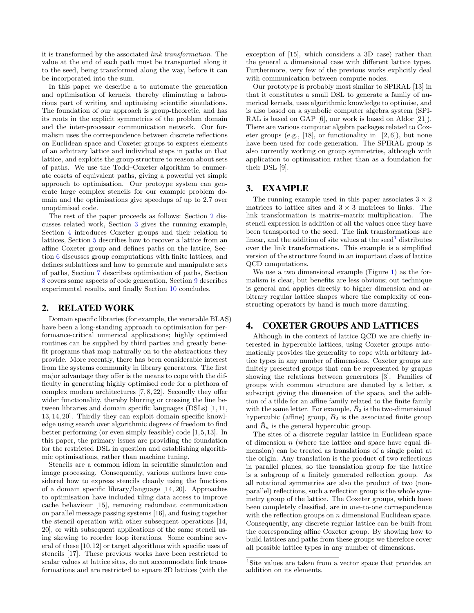it is transformed by the associated link transformation. The value at the end of each path must be transported along it to the seed, being transformed along the way, before it can be incorporated into the sum.

In this paper we describe a to automate the generation and optimisation of kernels, thereby eliminating a labourious part of writing and optimising scientific simulations. The foundation of our approach is group-theoretic, and has its roots in the explicit symmetries of the problem domain and the inter-processor communication network. Our formalism uses the correspondence between discrete reflections on Euclidean space and Coxeter groups to express elements of an arbitrary lattice and individual steps in paths on that lattice, and exploits the group structure to reason about sets of paths. We use the Todd–Coxeter algorithm to enumerate cosets of equivalent paths, giving a powerful yet simple approach to optimisation. Our protoype system can generate large complex stencils for our example problem domain and the optimisations give speedups of up to 2.7 over unoptimised code.

The rest of the paper proceeds as follows: Section [2](#page-1-0) discusses related work, Section [3](#page-1-1) gives the running example, Section [4](#page-1-2) introduces Coxeter groups and their relation to lattices, Section [5](#page-2-0) describes how to recover a lattice from an affine Coxeter group and defines paths on the lattice, Section [6](#page-4-0) discusses group computations with finite lattices, and defines sublattices and how to generate and manipulate sets of paths, Section [7](#page-4-1) describes optimisation of paths, Section [8](#page-6-0) covers some aspects of code generation, Section [9](#page-6-1) describes experimental results, and finally Section [10](#page-7-0) concludes.

#### <span id="page-1-0"></span>2. RELATED WORK

Domain specific libraries (for example, the venerable BLAS) have been a long-standing approach to optimisation for performance-critical numerical applications; highly optimised routines can be supplied by third parties and greatly benefit programs that map naturally on to the abstractions they provide. More recently, there has been considerable interest from the systems community in library generators. The first major advantage they offer is the means to cope with the difficulty in generating highly optimised code for a plethora of complex modern architectures [7, 8, 22]. Secondly they offer wider functionality, thereby blurring or crossing the line between libraries and domain specific languages (DSLs) [1, 11, 13, 14, 20]. Thirdly they can exploit domain specific knowledge using search over algorithmic degrees of freedom to find better performing (or even simply feasible) code [1,5,13]. In this paper, the primary issues are providing the foundation for the restricted DSL in question and establishing algorithmic optimisations, rather than machine tuning.

Stencils are a common idiom in scientific simulation and image processing. Consequently, various authors have considered how to express stencils cleanly using the functions of a domain specific library/language [14, 20]. Approaches to optimisation have included tiling data access to improve cache behaviour [15], removing redundant communication on parallel message passing systems [16], and fusing together the stencil operation with other subsequent operations [14, 20], or with subsequent applications of the same stencil using skewing to reorder loop iterations. Some combine several of these [10,12] or target algorithms with specific uses of stencils [17]. These previous works have been restricted to scalar values at lattice sites, do not accommodate link transformations and are restricted to square 2D lattices (with the exception of [15], which considers a 3D case) rather than the general  $n$  dimensional case with different lattice types. Furthermore, very few of the previous works explicitly deal with communication between compute nodes.

Our prototype is probably most similar to SPIRAL [13] in that it constitutes a small DSL to generate a family of numerical kernels, uses algorithmic knowledge to optimise, and is also based on a symbolic computer algebra system (SPI-RAL is based on GAP [6], our work is based on Aldor [21]). There are various computer algebra packages related to Coxeter groups (e.g.,  $[18]$ , or functionality in  $[2, 6]$ ), but none have been used for code generation. The SPIRAL group is also currently working on group symmetries, although with application to optimisation rather than as a foundation for their DSL [9].

## <span id="page-1-1"></span>3. EXAMPLE

The running example used in this paper associates  $3\times 2$ matrices to lattice sites and  $3 \times 3$  matrices to links. The link transformation is matrix–matrix multiplication. The stencil expression is addition of all the values once they have been transported to the seed. The link transformations are linear, and the addition of site values at the seed<sup>[1](#page-1-3)</sup> distributes over the link transformations. This example is a simplified version of the structure found in an important class of lattice QCD computations.

We use a two dimensional example (Figure [1\)](#page-2-1) as the formalism is clear, but benefits are less obvious; out technique is general and applies directly to higher dimension and arbitrary regular lattice shapes where the complexity of constructing operators by hand is much more daunting.

## <span id="page-1-2"></span>4. COXETER GROUPS AND LATTICES

Although in the context of lattice QCD we are chiefly interested in hypercubic lattices, using Coxeter groups automatically provides the generality to cope with arbitrary lattice types in any number of dimensions. Coxeter groups are finitely presented groups that can be represented by graphs showing the relations between generators [3]. Families of groups with common structure are denoted by a letter, a subscript giving the dimension of the space, and the addition of a tilde for an affine family related to the finite family with the same letter. For example,  $\tilde{B}_2$  is the two-dimensional hypercubic (affine) group,  $B_2$  is the associated finite group and  $\tilde{B}_n$  is the general hypercubic group.

The sites of a discrete regular lattice in Euclidean space of dimension  $n$  (where the lattice and space have equal dimension) can be treated as translations of a single point at the origin. Any translation is the product of two reflections in parallel planes, so the translation group for the lattice is a subgroup of a finitely generated reflection group. As all rotational symmetries are also the product of two (nonparallel) reflections, such a reflection group is the whole symmetry group of the lattice. The Coxeter groups, which have been completely classified, are in one-to-one correspondence with the reflection groups on  $n$  dimensional Euclidean space. Consequently, any discrete regular lattice can be built from the corresponding affine Coxeter group. By showing how to build lattices and paths from these groups we therefore cover all possible lattice types in any number of dimensions.

<span id="page-1-3"></span><sup>1</sup>Site values are taken from a vector space that provides an addition on its elements.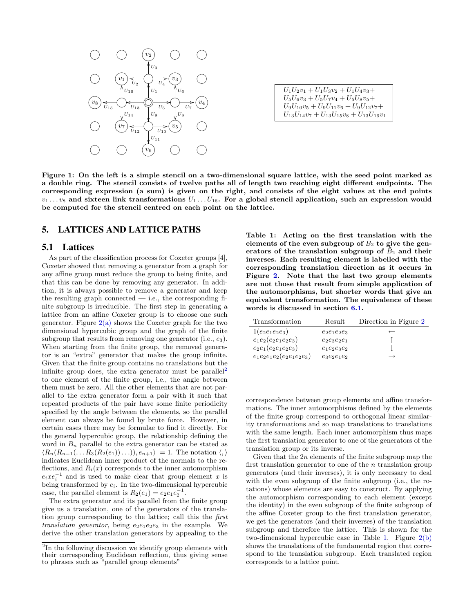

| $U_1U_2v_1+U_1U_3v_2+U_1U_4v_3+$                  |
|---------------------------------------------------|
| $U_5U_6v_3+U_5U_7v_4+U_5U_8v_5+$                  |
| $U_9U_{10}v_5+U_9U_{11}v_6+U_9U_{12}v_7+$         |
| $U_{13}U_{14}v_7+U_{13}U_{15}v_8+U_{13}U_{16}v_1$ |

<span id="page-2-1"></span>Figure 1: On the left is a simple stencil on a two-dimensional square lattice, with the seed point marked as a double ring. The stencil consists of twelve paths all of length two reaching eight different endpoints. The corresponding expression (a sum) is given on the right, and consists of the eight values at the end points  $v_1 \ldots v_8$  and sixteen link transformations  $U_1 \ldots U_{16}$ . For a global stencil application, such an expression would be computed for the stencil centred on each point on the lattice.

# <span id="page-2-0"></span>5. LATTICES AND LATTICE PATHS

#### 5.1 Lattices

As part of the classification process for Coxeter groups [4], Coxeter showed that removing a generator from a graph for any affine group must reduce the group to being finite, and that this can be done by removing any generator. In addition, it is always possible to remove a generator and keep the resulting graph connected  $-$  i.e., the corresponding finite subgroup is irreducible. The first step in generating a lattice from an affine Coxeter group is to choose one such generator. Figure  $2(a)$  shows the Coxeter graph for the two dimensional hypercubic group and the graph of the finite subgroup that results from removing one generator (i.e.,  $e_3$ ). When starting from the finite group, the removed generator is an "extra" generator that makes the group infinite. Given that the finite group contains no translations but the infinite group does, the extra generator must be parallel<sup>[2](#page-2-2)</sup> to one element of the finite group, i.e., the angle between them must be zero. All the other elements that are not parallel to the extra generator form a pair with it such that repeated products of the pair have some finite periodicity specified by the angle between the elements, so the parallel element can always be found by brute force. However, in certain cases there may be formulae to find it directly. For the general hypercubic group, the relationship defining the word in  $B_n$  parallel to the extra generator can be stated as  $\langle R_n(R_{n-1}(\ldots R_3(R_2(e_1))\ldots)), e_{n+1}\rangle = 1$ . The notation  $\langle, \rangle$ indicates Euclidean inner product of the normals to the reflections, and  $R_i(x)$  corresponds to the inner automorphism  $e_i x e_i^{-1}$  and is used to make clear that group element x is being transformed by  $e_i$ . In the two-dimensional hypercubic case, the parallel element is  $R_2(e_1) = e_2e_1e_2^{-1}$ .

The extra generator and its parallel from the finite group give us a translation, one of the generators of the translation group corresponding to the lattice; call this the first translation generator, being  $e_2e_1e_2e_3$  in the example. We derive the other translation generators by appealing to the

<span id="page-2-3"></span>Table 1: Acting on the first translation with the elements of the even subgroup of  $B_2$  to give the generators of the translation subgroup of  $\tilde{B}_2$  and their inverses. Each resulting element is labelled with the corresponding translation direction as it occurs in Figure [2.](#page-3-1) Note that the last two group elements are not those that result from simple application of the automorphisms, but shorter words that give an equivalent transformation. The equivalence of these words is discussed in section [6.1.](#page-4-2)

| Transformation               | Result         | Direction in Figure 2 |
|------------------------------|----------------|-----------------------|
| $1(e_2e_1e_2e_3)$            | $e_2e_1e_2e_3$ |                       |
| $e_1e_2(e_2e_1e_2e_3)$       | $e_2e_3e_2e_1$ |                       |
| $e_2e_1(e_2e_1e_2e_3)$       | $e_1e_2e_3e_2$ |                       |
| $e_1e_2e_1e_2(e_2e_1e_2e_3)$ | $e_3e_2e_1e_2$ | –                     |

correspondence between group elements and affine transformations. The inner automorphisms defined by the elements of the finite group correspond to orthogonal linear similarity transformations and so map translations to translations with the same length. Each inner automorphism thus maps the first translation generator to one of the generators of the translation group or its inverse.

Given that the  $2n$  elements of the finite subgroup map the first translation generator to one of the *n* translation group generators (and their inverses), it is only necessary to deal with the even subgroup of the finite subgroup (i.e., the rotations) whose elements are easy to construct. By applying the automorphism corresponding to each element (except the identity) in the even subgroup of the finite subgroup of the affine Coxeter group to the first translation generator, we get the generators (and their inverses) of the translation subgroup and therefore the lattice. This is shown for the two-dimensional hypercubic case in Table [1.](#page-2-3) Figure [2\(b\)](#page-3-2) shows the translations of the fundamental region that correspond to the translation subgroup. Each translated region corresponds to a lattice point.

<span id="page-2-2"></span><sup>&</sup>lt;sup>2</sup>In the following discussion we identify group elements with their corresponding Euclidean reflection, thus giving sense to phrases such as "parallel group elements"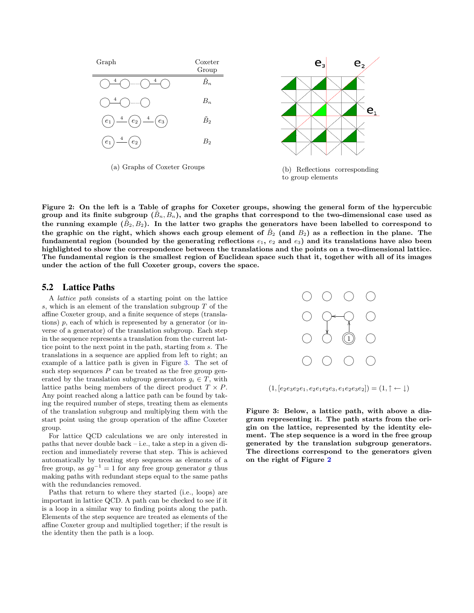<span id="page-3-0"></span>

<span id="page-3-1"></span>Figure 2: On the left is a Table of graphs for Coxeter groups, showing the general form of the hypercubic group and its finite subgroup  $(\bar{B}_n, B_n)$ , and the graphs that correspond to the two-dimensional case used as the running example  $(B_2, B_2)$ . In the latter two graphs the generators have been labelled to correspond to the graphic on the right, which shows each group element of  $B_2$  (and  $B_2$ ) as a reflection in the plane. The fundamental region (bounded by the generating reflections  $e_1$ ,  $e_2$  and  $e_3$ ) and its translations have also been highlighted to show the correspondence between the translations and the points on a two-dimensional lattice. The fundamental region is the smallest region of Euclidean space such that it, together with all of its images under the action of the full Coxeter group, covers the space.

#### 5.2 Lattice Paths

A lattice path consists of a starting point on the lattice s, which is an element of the translation subgroup  $T$  of the affine Coxeter group, and a finite sequence of steps (translations)  $p$ , each of which is represented by a generator (or inverse of a generator) of the translation subgroup. Each step in the sequence represents a translation from the current lattice point to the next point in the path, starting from s. The translations in a sequence are applied from left to right; an example of a lattice path is given in Figure [3.](#page-3-3) The set of such step sequences  $P$  can be treated as the free group generated by the translation subgroup generators  $g_i \in T$ , with lattice paths being members of the direct product  $T \times P$ . Any point reached along a lattice path can be found by taking the required number of steps, treating them as elements of the translation subgroup and multiplying them with the start point using the group operation of the affine Coxeter group.

For lattice QCD calculations we are only interested in paths that never double back – i.e., take a step in a given direction and immediately reverse that step. This is achieved automatically by treating step sequences as elements of a free group, as  $gg^{-1} = 1$  for any free group generator g thus making paths with redundant steps equal to the same paths with the redundancies removed.

Paths that return to where they started (i.e., loops) are important in lattice QCD. A path can be checked to see if it is a loop in a similar way to finding points along the path. Elements of the step sequence are treated as elements of the affine Coxeter group and multiplied together; if the result is the identity then the path is a loop.



<span id="page-3-2"></span>to group elements

<span id="page-3-3"></span> $(1, [e_2e_3e_2e_1, e_2e_1e_2e_3, e_1e_2e_3e_2]) = (1, \uparrow \leftarrow \downarrow)$ 

Figure 3: Below, a lattice path, with above a diagram representing it. The path starts from the origin on the lattice, represented by the identity element. The step sequence is a word in the free group generated by the translation subgroup generators. The directions correspond to the generators given on the right of Figure [2](#page-3-1)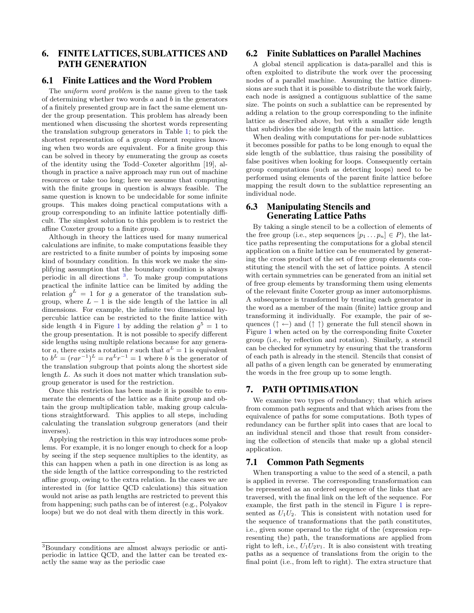# <span id="page-4-0"></span>6. FINITE LATTICES, SUBLATTICES AND PATH GENERATION

## <span id="page-4-2"></span>6.1 Finite Lattices and the Word Problem

The *uniform word problem* is the name given to the task of determining whether two words  $a$  and  $b$  in the generators of a finitely presented group are in fact the same element under the group presentation. This problem has already been mentioned when discussing the shortest words representing the translation subgroup generators in Table [1;](#page-2-3) to pick the shortest representation of a group element requires knowing when two words are equivalent. For a finite group this can be solved in theory by enumerating the group as cosets of the identity using the Todd–Coxeter algorithm [19], although in practice a naïve approach may run out of machine resources or take too long; here we assume that computing with the finite groups in question is always feasible. The same question is known to be undecidable for some infinite groups. This makes doing practical computations with a group corresponding to an infinite lattice potentially difficult. The simplest solution to this problem is to restrict the affine Coxeter group to a finite group.

Although in theory the lattices used for many numerical calculations are infinite, to make computations feasible they are restricted to a finite number of points by imposing some kind of boundary condition. In this work we make the simplifying assumption that the boundary condition is always periodic in all directions<sup>[3](#page-4-3)</sup>. To make group computations practical the infinite lattice can be limited by adding the relation  $g^L = 1$  for g a generator of the translation subgroup, where  $L - 1$  is the side length of the lattice in all dimensions. For example, the infinite two dimensional hypercubic lattice can be restricted to the finite lattice with side length 4 in Figure [1](#page-2-1) by adding the relation  $g^5 = 1$  to the group presentation. It is not possible to specify different side lengths using multiple relations because for any generator a, there exists a rotation r such that  $a^L = 1$  is equivalent to  $b^L = (rar^{-1})^L = ra^Lr^{-1} = 1$  where b is the generator of the translation subgroup that points along the shortest side length L. As such it does not matter which translation subgroup generator is used for the restriction.

Once this restriction has been made it is possible to enumerate the elements of the lattice as a finite group and obtain the group multiplication table, making group calculations straightforward. This applies to all steps, including calculating the translation subgroup generators (and their inverses).

Applying the restriction in this way introduces some problems. For example, it is no longer enough to check for a loop by seeing if the step sequence multiplies to the identity, as this can happen when a path in one direction is as long as the side length of the lattice corresponding to the restricted affine group, owing to the extra relation. In the cases we are interested in (for lattice QCD calculations) this situation would not arise as path lengths are restricted to prevent this from happening; such paths can be of interest (e.g., Polyakov loops) but we do not deal with them directly in this work.

# 6.2 Finite Sublattices on Parallel Machines

A global stencil application is data-parallel and this is often exploited to distribute the work over the processing nodes of a parallel machine. Assuming the lattice dimensions are such that it is possible to distribute the work fairly, each node is assigned a contiguous sublattice of the same size. The points on such a sublattice can be represented by adding a relation to the group corresponding to the infinite lattice as described above, but with a smaller side length that subdivides the side length of the main lattice.

When dealing with computations for per-node sublattices it becomes possible for paths to be long enough to equal the side length of the sublattice, thus raising the possibility of false positives when looking for loops. Consequently certain group computations (such as detecting loops) need to be performed using elements of the parent finite lattice before mapping the result down to the sublattice representing an individual node.

## 6.3 Manipulating Stencils and Generating Lattice Paths

By taking a single stencil to be a collection of elements of the free group (i.e., step sequences  $[p_1 \dots p_n] \in P$ ), the lattice paths representing the computations for a global stencil application on a finite lattice can be enumerated by generating the cross product of the set of free group elements constituting the stencil with the set of lattice points. A stencil with certain symmetries can be generated from an initial set of free group elements by transforming them using elements of the relevant finite Coxeter group as inner automorphisms. A subsequence is transformed by treating each generator in the word as a member of the main (finite) lattice group and transforming it individually. For example, the pair of sequences  $(† \leftarrow)$  and  $(† \uparrow)$  generate the full stencil shown in Figure [1](#page-2-1) when acted on by the corresponding finite Coxeter group (i.e., by reflection and rotation). Similarly, a stencil can be checked for symmetry by ensuring that the transform of each path is already in the stencil. Stencils that consist of all paths of a given length can be generated by enumerating the words in the free group up to some length.

# <span id="page-4-1"></span>7. PATH OPTIMISATION

We examine two types of redundancy; that which arises from common path segments and that which arises from the equivalence of paths for some computations. Both types of redundancy can be further split into cases that are local to an individual stencil and those that result from considering the collection of stencils that make up a global stencil application.

# <span id="page-4-4"></span>7.1 Common Path Segments

When transporting a value to the seed of a stencil, a path is applied in reverse. The corresponding transformation can be represented as an ordered sequence of the links that are traversed, with the final link on the left of the sequence. For example, the first path in the stencil in Figure [1](#page-2-1) is represented as  $U_1U_2$ . This is consistent with notation used for the sequence of transformations that the path constitutes, i.e., given some operand to the right of the (expression representing the) path, the transformations are applied from right to left, i.e.,  $U_1U_2v_1$ . It is also consistent with treating paths as a sequence of translations from the origin to the final point (i.e., from left to right). The extra structure that

<span id="page-4-3"></span><sup>3</sup>Boundary conditions are almost always periodic or antiperiodic in lattice QCD, and the latter can be treated exactly the same way as the periodic case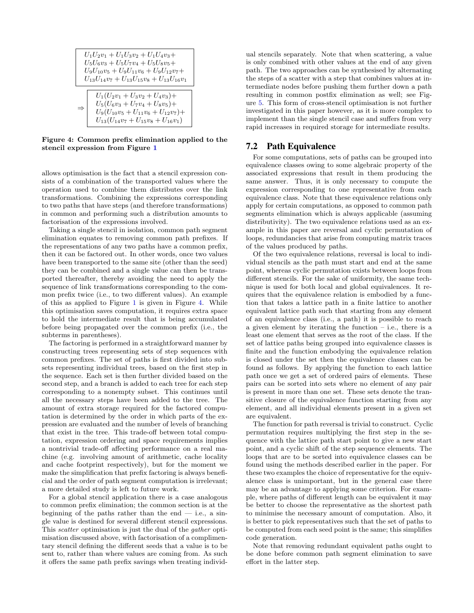|                                                                                                                                    | $U_1U_2v_1+U_1U_3v_2+U_1U_4v_3+$                                                                                 |  |  |  |  |  |
|------------------------------------------------------------------------------------------------------------------------------------|------------------------------------------------------------------------------------------------------------------|--|--|--|--|--|
| $U_5U_6v_3+U_5U_7v_4+U_5U_8v_5+$<br>$U_9U_{10}v_5+U_9U_{11}v_6+U_9U_{12}v_7+$<br>$U_{13}U_{14}v_7+U_{13}U_{15}v_8+U_{13}U_{16}v_1$ |                                                                                                                  |  |  |  |  |  |
|                                                                                                                                    | $U_1(U_2v_1+U_3v_2+U_4v_3)+$                                                                                     |  |  |  |  |  |
| $\Rightarrow$                                                                                                                      | $U_5(U_6v_3+U_7v_4+U_8v_5)+$<br>$U_9(U_{10}v_5+U_{11}v_6+U_{12}v_7)+$<br>$U_{13}(U_{14}v_7+U_{15}v_8+U_{16}v_1)$ |  |  |  |  |  |

<span id="page-5-0"></span>Figure 4: Common prefix elimination applied to the stencil expression from Figure [1](#page-2-1)

allows optimisation is the fact that a stencil expression consists of a combination of the transported values where the operation used to combine them distributes over the link transformations. Combining the expressions corresponding to two paths that have steps (and therefore transformations) in common and performing such a distribution amounts to factorisation of the expressions involved.

Taking a single stencil in isolation, common path segment elimination equates to removing common path prefixes. If the representations of any two paths have a common prefix, then it can be factored out. In other words, once two values have been transported to the same site (other than the seed) they can be combined and a single value can then be transported thereafter, thereby avoiding the need to apply the sequence of link transformations corresponding to the common prefix twice (i.e., to two different values). An example of this as applied to Figure [1](#page-2-1) is given in Figure [4.](#page-5-0) While this optimisation saves computation, it requires extra space to hold the intermediate result that is being accumulated before being propagated over the common prefix (i.e., the subterms in parentheses).

The factoring is performed in a straightforward manner by constructing trees representing sets of step sequences with common prefixes. The set of paths is first divided into subsets representing individual trees, based on the first step in the sequence. Each set is then further divided based on the second step, and a branch is added to each tree for each step corresponding to a nonempty subset. This continues until all the necessary steps have been added to the tree. The amount of extra storage required for the factored computation is determined by the order in which parts of the expression are evaluated and the number of levels of branching that exist in the tree. This trade-off between total computation, expression ordering and space requirements implies a nontrivial trade-off affecting performance on a real machine (e.g. involving amount of arithmetic, cache locality and cache footprint respectively), but for the moment we make the simplification that prefix factoring is always beneficial and the order of path segment computation is irrelevant; a more detailed study is left to future work.

For a global stencil application there is a case analogous to common prefix elimination; the common section is at the beginning of the paths rather than the end  $-$  i.e., a single value is destined for several different stencil expressions. This *scatter* optimisation is just the dual of the *gather* optimisation discussed above, with factorisation of a complimentary stencil defining the different seeds that a value is to be sent to, rather than where values are coming from. As such it offers the same path prefix savings when treating individ-

ual stencils separately. Note that when scattering, a value is only combined with other values at the end of any given path. The two approaches can be synthesised by alternating the steps of a scatter with a step that combines values at intermediate nodes before pushing them further down a path resulting in common postfix elimination as well; see Figure [5.](#page-6-2) This form of cross-stencil optimisation is not further investigated in this paper however, as it is more complex to implement than the single stencil case and suffers from very rapid increases in required storage for intermediate results.

#### 7.2 Path Equivalence

For some computations, sets of paths can be grouped into equivalence classes owing to some algebraic property of the associated expressions that result in them producing the same answer. Thus, it is only necessary to compute the expression corresponding to one representative from each equivalence class. Note that these equivalence relations only apply for certain computations, as opposed to common path segments elimination which is always applicable (assuming distributivity). The two equivalence relations used as an example in this paper are reversal and cyclic permutation of loops, redundancies that arise from computing matrix traces of the values produced by paths.

Of the two equivalence relations, reversal is local to individual stencils as the path must start and end at the same point, whereas cyclic permutation exists between loops from different stencils. For the sake of uniformity, the same technique is used for both local and global equivalences. It requires that the equivalence relation is embodied by a function that takes a lattice path in a finite lattice to another equivalent lattice path such that starting from any element of an equivalence class (i.e., a path) it is possible to reach a given element by iterating the function – i.e., there is a least one element that serves as the root of the class. If the set of lattice paths being grouped into equivalence classes is finite and the function embodying the equivalence relation is closed under the set then the equivalence classes can be found as follows. By applying the function to each lattice path once we get a set of ordered pairs of elements. These pairs can be sorted into sets where no element of any pair is present in more than one set. These sets denote the transitive closure of the equivalence function starting from any element, and all individual elements present in a given set are equivalent.

The function for path reversal is trivial to construct. Cyclic permutation requires multiplying the first step in the sequence with the lattice path start point to give a new start point, and a cyclic shift of the step sequence elements. The loops that are to be sorted into equivalence classes can be found using the methods described earlier in the paper. For these two examples the choice of representative for the equivalence class is unimportant, but in the general case there may be an advantage to applying some criterion. For example, where paths of different length can be equivalent it may be better to choose the representative as the shortest path to minimise the necessary amount of computation. Also, it is better to pick representatives such that the set of paths to be computed from each seed point is the same; this simplifies code generation.

Note that removing redundant equivalent paths ought to be done before common path segment elimination to save effort in the latter step.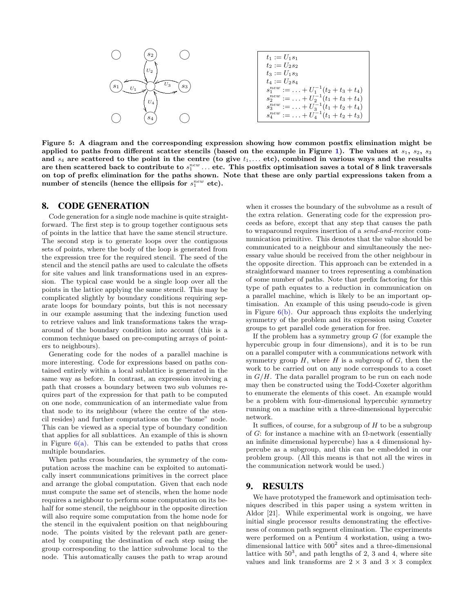

<span id="page-6-2"></span>Figure 5: A diagram and the corresponding expression showing how common postfix elimination might be applied to paths from different scatter stencils (based on the example in Figure [1\)](#page-2-1). The values at  $s_1$ ,  $s_2$ ,  $s_3$ and  $s_4$  are scattered to the point in the centre (to give  $t_1, \ldots$  etc), combined in various ways and the results are then scattered back to contribute to  $s_1^{new}$  . . . etc. This postfix optimisation saves a total of 8 link traversals on top of prefix elimination for the paths shown. Note that these are only partial expressions taken from a number of stencils (hence the ellipsis for  $s_1^{new}$  etc).

#### <span id="page-6-0"></span>8. CODE GENERATION

Code generation for a single node machine is quite straightforward. The first step is to group together contiguous sets of points in the lattice that have the same stencil structure. The second step is to generate loops over the contiguous sets of points, where the body of the loop is generated from the expression tree for the required stencil. The seed of the stencil and the stencil paths are used to calculate the offsets for site values and link transformations used in an expression. The typical case would be a single loop over all the points in the lattice applying the same stencil. This may be complicated slightly by boundary conditions requiring separate loops for boundary points, but this is not necessary in our example assuming that the indexing function used to retrieve values and link transformations takes the wraparound of the boundary condition into account (this is a common technique based on pre-computing arrays of pointers to neighbours).

Generating code for the nodes of a parallel machine is more interesting. Code for expressions based on paths contained entirely within a local sublattice is generated in the same way as before. In contrast, an expression involving a path that crosses a boundary between two sub volumes requires part of the expression for that path to be computed on one node, communication of an intermediate value from that node to its neighbour (where the centre of the stencil resides) and further computations on the "home" node. This can be viewed as a special type of boundary condition that applies for all sublattices. An example of this is shown in Figure  $6(a)$ . This can be extended to paths that cross multiple boundaries.

When paths cross boundaries, the symmetry of the computation across the machine can be exploited to automatically insert communications primitives in the correct place and arrange the global computation. Given that each node must compute the same set of stencils, when the home node requires a neighbour to perform some computation on its behalf for some stencil, the neighbour in the opposite direction will also require some computation from the home node for the stencil in the equivalent position on that neighbouring node. The points visited by the relevant path are generated by computing the destination of each step using the group corresponding to the lattice subvolume local to the node. This automatically causes the path to wrap around

when it crosses the boundary of the subvolume as a result of the extra relation. Generating code for the expression proceeds as before, except that any step that causes the path to wraparound requires insertion of a send-and-receive communication primitive. This denotes that the value should be communicated to a neighbour and simultaneously the necessary value should be received from the other neighbour in the opposite direction. This approach can be extended in a straightforward manner to trees representing a combination of some number of paths. Note that prefix factoring for this type of path equates to a reduction in communication on a parallel machine, which is likely to be an important optimisation. An example of this using pseudo-code is given in Figure  $6(b)$ . Our approach thus exploits the underlying symmetry of the problem and its expression using Coxeter groups to get parallel code generation for free.

If the problem has a symmetry group  $G$  (for example the hypercubic group in four dimensions), and it is to be run on a parallel computer with a communications network with symmetry group  $H$ , where  $H$  is a subgroup of  $G$ , then the work to be carried out on any node corresponds to a coset in  $G/H$ . The data parallel program to be run on each node may then be constructed using the Todd-Coxeter algorithm to enumerate the elements of this coset. An example would be a problem with four-dimensional hypercubic symmetry running on a machine with a three-dimensional hypercubic network.

It suffices, of course, for a subgroup of  $H$  to be a subgroup of  $G$ : for instance a machine with an  $\Omega$ -network (essentially an infinite dimensional hypercube) has a 4 dimensional hypercube as a subgroup, and this can be embedded in our problem group. (All this means is that not all the wires in the communication network would be used.)

#### <span id="page-6-1"></span>9. RESULTS

We have prototyped the framework and optimisation techniques described in this paper using a system written in Aldor [21]. While experimental work is ongoing, we have initial single processor results demonstrating the effectiveness of common path segment elimination. The experiments were performed on a Pentium 4 workstation, using a twodimensional lattice with  $500^2$  sites and a three-dimensional lattice with  $50^3$ , and path lengths of 2, 3 and 4, where site values and link transforms are  $2 \times 3$  and  $3 \times 3$  complex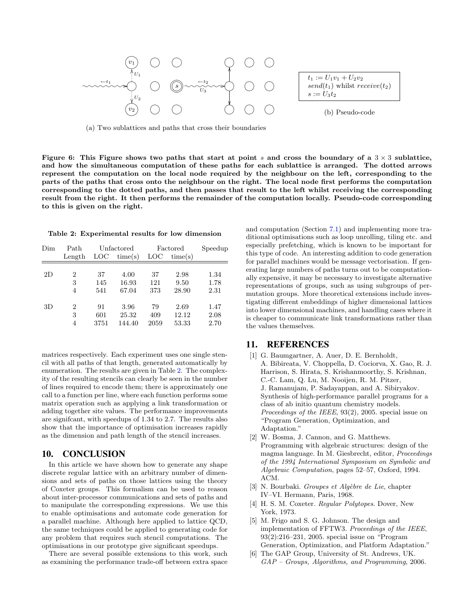<span id="page-7-1"></span>

(a) Two sublattices and paths that cross their boundaries

Figure 6: This Figure shows two paths that start at point s and cross the boundary of a  $3 \times 3$  sublattice, and how the simultaneous computation of these paths for each sublattice is arranged. The dotted arrows represent the computation on the local node required by the neighbour on the left, corresponding to the parts of the paths that cross onto the neighbour on the right. The local node first performs the computation corresponding to the dotted paths, and then passes that result to the left whilst receiving the corresponding result from the right. It then performs the remainder of the computation locally. Pseudo-code corresponding to this is given on the right.

<span id="page-7-3"></span>Table 2: Experimental results for low dimension

| Dimn | Path           | Unfactored |         | Factored   |         | Speedup |
|------|----------------|------------|---------|------------|---------|---------|
|      | Length         | LOC        | time(s) | <b>LOC</b> | time(s) |         |
|      |                |            |         |            |         |         |
| 2D   | $\overline{2}$ | 37         | 4.00    | 37         | 2.98    | 1.34    |
|      | 3              | 145        | 16.93   | 121        | 9.50    | 1.78    |
|      | 4              | 541        | 67.04   | 373        | 28.90   | 2.31    |
| 3D   | $\overline{2}$ | 91         | 3.96    | 79         | 2.69    | 1.47    |
|      | 3              | 601        | 25.32   | 409        | 12.12   | 2.08    |
|      | 4              | 3751       | 144.40  | 2059       | 53.33   | 2.70    |
|      |                |            |         |            |         |         |

matrices respectively. Each experiment uses one single stencil with all paths of that length, generated automatically by enumeration. The results are given in Table [2.](#page-7-3) The complexity of the resulting stencils can clearly be seen in the number of lines required to encode them; there is approximately one call to a function per line, where each function performs some matrix operation such as applying a link transformation or adding together site values. The performance improvements are signifcant, with speedups of 1.34 to 2.7. The results also show that the importance of optimisation increases rapidly as the dimension and path length of the stencil increases.

#### <span id="page-7-0"></span>10. CONCLUSION

In this article we have shown how to generate any shape discrete regular lattice with an arbitrary number of dimensions and sets of paths on those lattices using the theory of Coxeter groups. This formalism can be used to reason about inter-processor communications and sets of paths and to manipulate the corresponding expressions. We use this to enable optimisations and automate code generation for a parallel machine. Although here applied to lattice QCD, the same techniques could be applied to generating code for any problem that requires such stencil computations. The optimisations in our prototype give significant speedups.

There are several possible extensions to this work, such as examining the performance trade-off between extra space <span id="page-7-2"></span>and computation (Section [7.1\)](#page-4-4) and implementing more traditional optimisations such as loop unrolling, tiling etc. and especially prefetching, which is known to be important for this type of code. An interesting addition to code generation for parallel machines would be message vectorisation. If generating large numbers of paths turns out to be computationally expensive, it may be necessary to investigate alternative representations of groups, such as using subgroups of permutation groups. More theoretical extensions include investigating different embeddings of higher dimensional lattices into lower dimensional machines, and handling cases where it is cheaper to communicate link transformations rather than the values themselves.

#### 11. REFERENCES

- [1] G. Baumgartner, A. Auer, D. E. Bernholdt, A. Bibireata, V. Choppella, D. Cociorva, X. Gao, R. J. Harrison, S. Hirata, S. Krishanmoorthy, S. Krishnan, C.-C. Lam, Q. Lu, M. Nooijen, R. M. Pitzer, J. Ramanujam, P. Sadayappan, and A. Sibiryakov. Synthesis of high-performance parallel programs for a class of ab initio quantum chemistry models. Proceedings of the IEEE, 93(2), 2005. special issue on "Program Generation, Optimization, and Adaptation."
- [2] W. Bosma, J. Cannon, and G. Matthews. Programming with algebraic structures: design of the magma language. In M. Giesbrecht, editor, Proceedings of the 1994 International Symposium on Symbolic and Algebraic Computation, pages 52–57, Oxford, 1994. ACM.
- [3] N. Bourbaki. Groupes et Algèbre de Lie, chapter IV–VI. Hermann, Paris, 1968.
- [4] H. S. M. Coxeter. Regular Polytopes. Dover, New York, 1973.
- [5] M. Frigo and S. G. Johnson. The design and implementation of FFTW3. Proceedings of the IEEE, 93(2):216–231, 2005. special issue on "Program Generation, Optimization, and Platform Adaptation."
- [6] The GAP Group, University of St. Andrews, UK. GAP – Groups, Algorithms, and Programming, 2006.